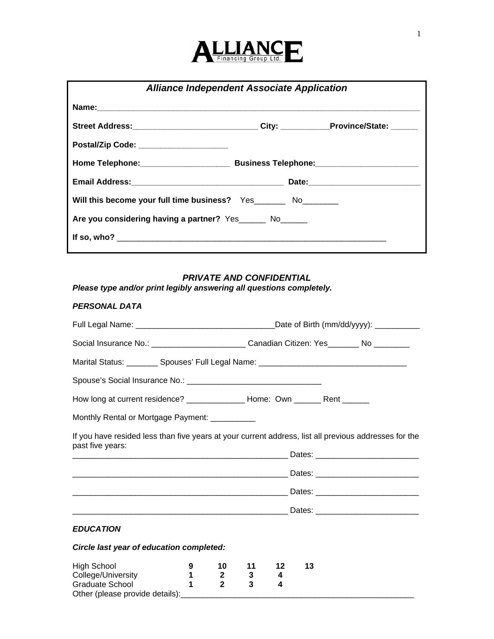

| <b>Alliance Independent Associate Application</b>                                 |  |  |  |
|-----------------------------------------------------------------------------------|--|--|--|
|                                                                                   |  |  |  |
| Street Address:____________________________City: __________Province/State: ______ |  |  |  |
| Postal/Zip Code: _________________________                                        |  |  |  |
|                                                                                   |  |  |  |
|                                                                                   |  |  |  |
| Will this become your full time business? Yes________ No_________                 |  |  |  |
| Are you considering having a partner? Yes_______ No______                         |  |  |  |
|                                                                                   |  |  |  |

# *PRIVATE AND CONFIDENTIAL*

*Please type and/or print legibly answering all questions completely.* 

### *PERSONAL DATA*

|                                                                                                                           | Social Insurance No.: ___________________________Canadian Citizen: Yes________ No _________ |                                    |              |              |    |  |  |
|---------------------------------------------------------------------------------------------------------------------------|---------------------------------------------------------------------------------------------|------------------------------------|--------------|--------------|----|--|--|
| Marital Status: _________ Spouses' Full Legal Name: _____________________________                                         |                                                                                             |                                    |              |              |    |  |  |
|                                                                                                                           |                                                                                             |                                    |              |              |    |  |  |
| How long at current residence? _________________ Home: Own _______ Rent _______                                           |                                                                                             |                                    |              |              |    |  |  |
| Monthly Rental or Mortgage Payment: __________                                                                            |                                                                                             |                                    |              |              |    |  |  |
| If you have resided less than five years at your current address, list all previous addresses for the<br>past five years: |                                                                                             |                                    |              |              |    |  |  |
|                                                                                                                           |                                                                                             |                                    |              |              |    |  |  |
|                                                                                                                           |                                                                                             |                                    |              |              |    |  |  |
|                                                                                                                           |                                                                                             |                                    |              |              |    |  |  |
|                                                                                                                           |                                                                                             |                                    |              |              |    |  |  |
| <b>EDUCATION</b>                                                                                                          |                                                                                             |                                    |              |              |    |  |  |
| Circle last year of education completed:                                                                                  |                                                                                             |                                    |              |              |    |  |  |
| <b>High School</b><br>College/University<br>Graduate School                                                               | 9<br>$\mathbf{1}$<br>$\blacktriangleleft$                                                   | 10<br>$\mathbf{2}$<br>$\mathbf{2}$ | 11<br>3<br>3 | 12<br>4<br>4 | 13 |  |  |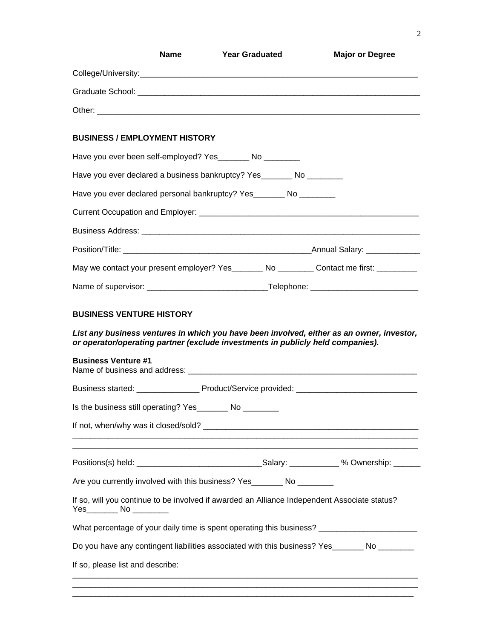| <b>BUSINESS / EMPLOYMENT HISTORY</b>                                                                                                             |  |                                                                                                      |
|--------------------------------------------------------------------------------------------------------------------------------------------------|--|------------------------------------------------------------------------------------------------------|
| Have you ever been self-employed? Yes________ No ________                                                                                        |  |                                                                                                      |
| Have you ever declared a business bankruptcy? Yes________ No _________                                                                           |  |                                                                                                      |
| Have you ever declared personal bankruptcy? Yes _______ No ________                                                                              |  |                                                                                                      |
|                                                                                                                                                  |  |                                                                                                      |
|                                                                                                                                                  |  |                                                                                                      |
|                                                                                                                                                  |  |                                                                                                      |
|                                                                                                                                                  |  | May we contact your present employer? Yes_________ No __________ Contact me first: __________        |
|                                                                                                                                                  |  |                                                                                                      |
|                                                                                                                                                  |  | List any business ventures in which you have been involved, either as an owner, investor,            |
| <b>BUSINESS VENTURE HISTORY</b><br>or operator/operating partner (exclude investments in publicly held companies).<br><b>Business Venture #1</b> |  |                                                                                                      |
|                                                                                                                                                  |  |                                                                                                      |
| Is the business still operating? Yes________ No ________                                                                                         |  |                                                                                                      |
|                                                                                                                                                  |  |                                                                                                      |
| Are you currently involved with this business? Yes________ No ________                                                                           |  |                                                                                                      |
|                                                                                                                                                  |  | If so, will you continue to be involved if awarded an Alliance Independent Associate status?         |
|                                                                                                                                                  |  | What percentage of your daily time is spent operating this business? _______________________________ |
|                                                                                                                                                  |  | Do you have any contingent liabilities associated with this business? Yes_______ No _______          |

\_\_\_\_\_\_\_\_\_\_\_\_\_\_\_\_\_\_\_\_\_\_\_\_\_\_\_\_\_\_\_\_\_\_\_\_\_\_\_\_\_\_\_\_\_\_\_\_\_\_\_\_\_\_\_\_\_\_\_\_\_\_\_\_\_\_\_\_\_\_\_\_\_\_\_\_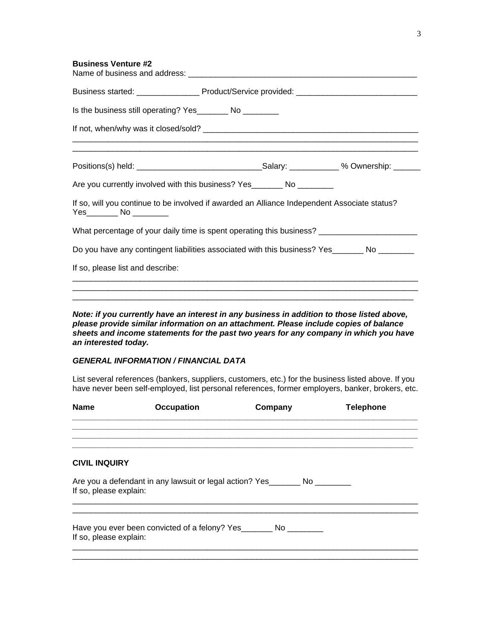| Are you currently involved with this business? Yes_________ No __________                            |  |
|------------------------------------------------------------------------------------------------------|--|
| If so, will you continue to be involved if awarded an Alliance Independent Associate status?         |  |
| What percentage of your daily time is spent operating this business? _______________________________ |  |
| Do you have any contingent liabilities associated with this business? Yes_______ No ________         |  |
| If so, please list and describe:                                                                     |  |
|                                                                                                      |  |
|                                                                                                      |  |

*Note: if you currently have an interest in any business in addition to those listed above, please provide similar information on an attachment. Please include copies of balance sheets and income statements for the past two years for any company in which you have an interested today.* 

### *GENERAL INFORMATION / FINANCIAL DATA*

List several references (bankers, suppliers, customers, etc.) for the business listed above. If you have never been self-employed, list personal references, former employers, banker, brokers, etc.

| <b>Name</b>            | <b>Occupation</b>                                                           | Company | <b>Telephone</b> |
|------------------------|-----------------------------------------------------------------------------|---------|------------------|
|                        |                                                                             |         |                  |
|                        |                                                                             |         |                  |
| <b>CIVIL INQUIRY</b>   |                                                                             |         |                  |
| If so, please explain: | Are you a defendant in any lawsuit or legal action? Yes_______ No _________ |         |                  |
| If so, please explain: | Have you ever been convicted of a felony? Yes __________ No _________       |         |                  |
|                        |                                                                             |         |                  |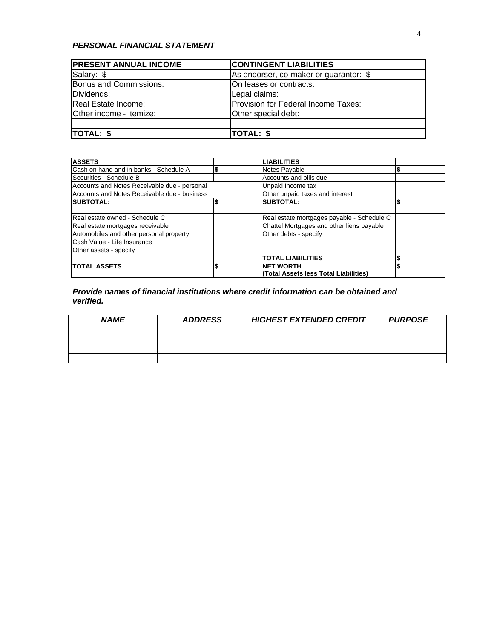## *PERSONAL FINANCIAL STATEMENT*

| <b>PRESENT ANNUAL INCOME</b> | <b>CONTINGENT LIABILITIES</b>          |
|------------------------------|----------------------------------------|
| Salary: \$                   | As endorser, co-maker or guarantor: \$ |
| Bonus and Commissions:       | On leases or contracts:                |
| Dividends:                   | Legal claims:                          |
| Real Estate Income:          | Provision for Federal Income Taxes:    |
| Other income - itemize:      | Other special debt:                    |
|                              |                                        |
| TOTAL: \$                    | TOTAL: \$                              |

| <b>ASSETS</b>                                | <b>LIABILITIES</b>                         |  |
|----------------------------------------------|--------------------------------------------|--|
| Cash on hand and in banks - Schedule A       | Notes Payable                              |  |
| Securities - Schedule B                      | Accounts and bills due                     |  |
| Accounts and Notes Receivable due - personal | Unpaid Income tax                          |  |
| Accounts and Notes Receivable due - business | Other unpaid taxes and interest            |  |
| <b>SUBTOTAL:</b>                             | <b>SUBTOTAL:</b>                           |  |
|                                              |                                            |  |
| Real estate owned - Schedule C               | Real estate mortgages payable - Schedule C |  |
| Real estate mortgages receivable             | Chattel Mortgages and other liens payable  |  |
| Automobiles and other personal property      | Other debts - specify                      |  |
| Cash Value - Life Insurance                  |                                            |  |
| Other assets - specify                       |                                            |  |
|                                              | <b>TOTAL LIABILITIES</b>                   |  |
| <b>TOTAL ASSETS</b>                          | <b>NET WORTH</b>                           |  |
|                                              | (Total Assets less Total Liabilities)      |  |

*Provide names of financial institutions where credit information can be obtained and verified.* 

| <b>NAME</b> | <b>ADDRESS</b> | <b>HIGHEST EXTENDED CREDIT</b> | <b>PURPOSE</b> |
|-------------|----------------|--------------------------------|----------------|
|             |                |                                |                |
|             |                |                                |                |
|             |                |                                |                |